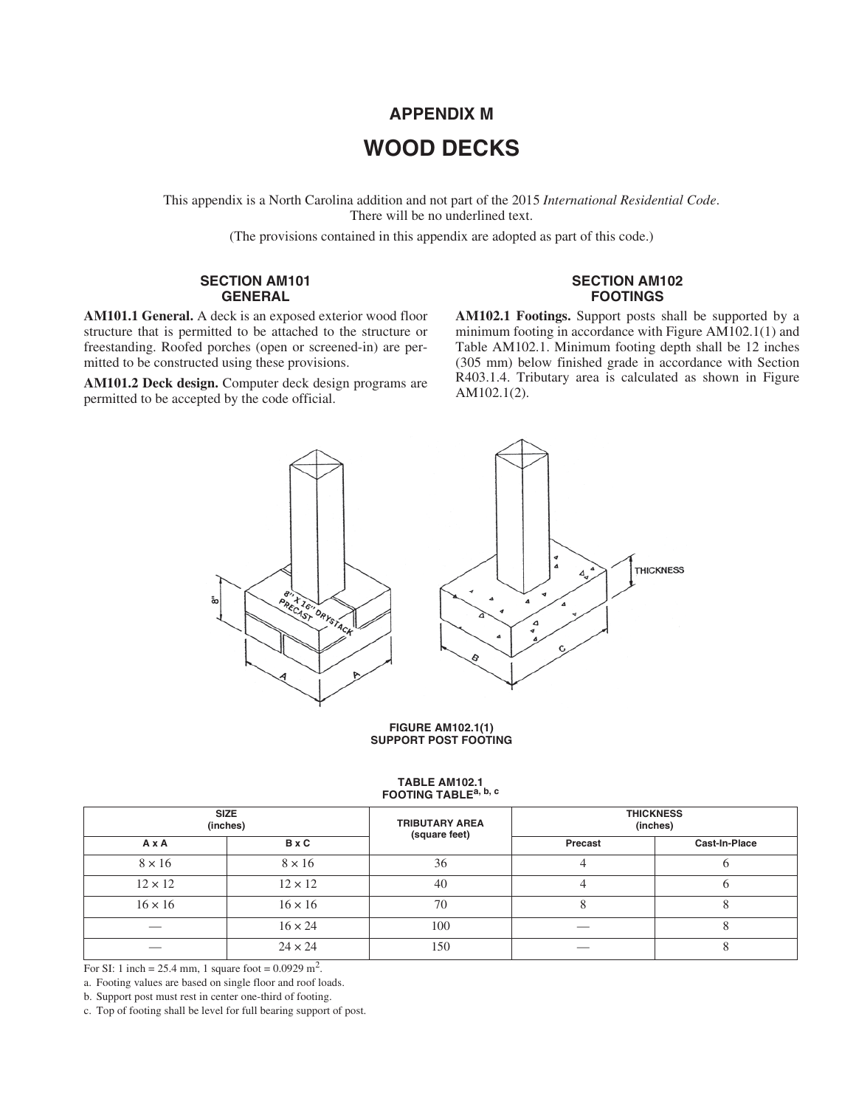# **APPENDIX M WOOD DECKS**

This appendix is a North Carolina addition and not part of the 2015 International Residential Code. There will be no underlined text.

(The provisions contained in this appendix are adopted as part of this code.)

### **SECTION AM101 GENERAL**

AM101.1 General. A deck is an exposed exterior wood floor structure that is permitted to be attached to the structure or freestanding. Roofed porches (open or screened-in) are permitted to be constructed using these provisions.

AM101.2 Deck design. Computer deck design programs are permitted to be accepted by the code official.

### **SECTION AM102 FOOTINGS**

AM102.1 Footings. Support posts shall be supported by a minimum footing in accordance with Figure AM102.1(1) and Table AM102.1. Minimum footing depth shall be 12 inches (305 mm) below finished grade in accordance with Section R403.1.4. Tributary area is calculated as shown in Figure  $AM102.1(2)$ .



### **FIGURE AM102.1(1)** SUPPORT POST FOOTING

#### **TABLE AM102.1** FOOTING TABLE<sup>a, b, c</sup>

| <b>SIZE</b><br>(inches) |                | <b>TRIBUTARY AREA</b><br>(square feet) | <b>THICKNESS</b><br>(inches) |               |  |
|-------------------------|----------------|----------------------------------------|------------------------------|---------------|--|
| AxA                     | <b>B</b> x C   |                                        | Precast                      | Cast-In-Place |  |
| $8 \times 16$           | $8 \times 16$  | 36                                     |                              |               |  |
| $12 \times 12$          | $12 \times 12$ | 40                                     | 4                            |               |  |
| $16 \times 16$          | $16 \times 16$ | 70                                     | C                            |               |  |
|                         | $16 \times 24$ | 100                                    |                              |               |  |
|                         | $24 \times 24$ | 150                                    |                              |               |  |

For SI: 1 inch = 25.4 mm, 1 square foot =  $0.0929$  m<sup>2</sup>.

a. Footing values are based on single floor and roof loads.

b. Support post must rest in center one-third of footing.

c. Top of footing shall be level for full bearing support of post.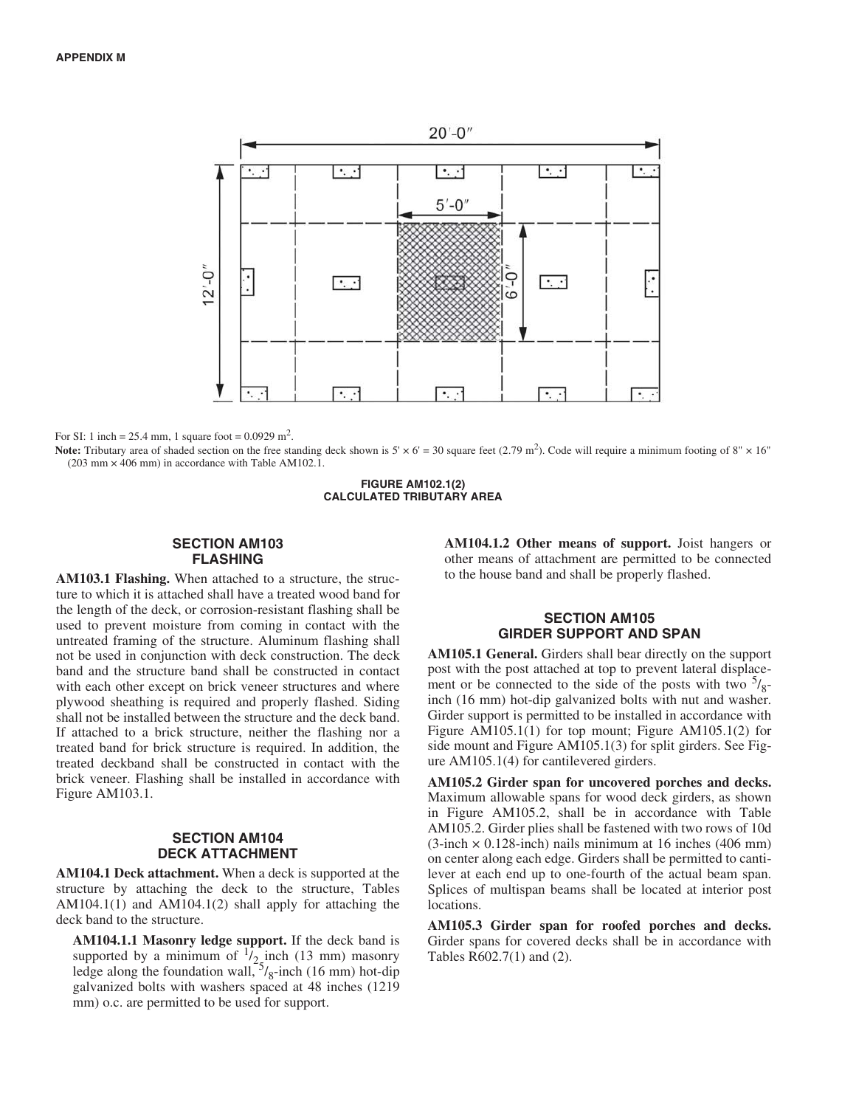

For SI: 1 inch = 25.4 mm, 1 square foot =  $0.0929$  m<sup>2</sup>.

**Note:** Tributary area of shaded section on the free standing deck shown is  $5' \times 6' = 30$  square feet (2.79 m<sup>2</sup>). Code will require a minimum footing of  $8'' \times 16''$  $(203 \text{ mm} \times 406 \text{ mm})$  in accordance with Table AM102.1.

> **FIGURE AM102.1(2) EXALCULATED TRIBUTARY AREA**

### **SECTION AM103 FLASHING**

**AM103.1 Flashing.** When attached to a structure, the structure to which it is attached shall have a treated wood band for the length of the deck, or corrosion-resistant flashing shall be used to prevent moisture from coming in contact with the untreated framing of the structure. Aluminum flashing shall not be used in conjunction with deck construction. The deck band and the structure band shall be constructed in contact with each other except on brick veneer structures and where plywood sheathing is required and properly flashed. Siding shall not be installed between the structure and the deck band. If attached to a brick structure, neither the flashing nor a treated band for brick structure is required. In addition, the treated deckband shall be constructed in contact with the brick veneer. Flashing shall be installed in accordance with Figure AM103.1.

### **SECTION AM104 DECK ATTACHMENT**

**AM104.1 Deck attachment.** When a deck is supported at the structure by attaching the deck to the structure, Tables  $AM104.1(1)$  and  $AM104.1(2)$  shall apply for attaching the deck band to the structure.

AM104.1.1 Masonry ledge support. If the deck band is supported by a minimum of  $\frac{1}{2}$  inch (13 mm) masonry ledge along the foundation wall,  $5/\text{g}$ -inch (16 mm) hot-dip galvanized bolts with washers spaced at 48 inches (1219) mm) o.c. are permitted to be used for support.

AM104.1.2 Other means of support. Joist hangers or other means of attachment are permitted to be connected to the house band and shall be properly flashed.

### **SECTION AM105 GIRDER SUPPORT AND SPAN**

AM105.1 General. Girders shall bear directly on the support post with the post attached at top to prevent lateral displacement or be connected to the side of the posts with two  $\frac{5}{8}$ inch (16 mm) hot-dip galvanized bolts with nut and washer. Girder support is permitted to be installed in accordance with Figure  $AM105.1(1)$  for top mount; Figure  $AM105.1(2)$  for side mount and Figure  $AM105.1(3)$  for split girders. See Figure  $AM105.1(4)$  for cantilevered girders.

AM105.2 Girder span for uncovered porches and decks. Maximum allowable spans for wood deck girders, as shown in Figure AM105.2, shall be in accordance with Table AM105.2. Girder plies shall be fastened with two rows of 10d  $(3\text{-inch} \times 0.128\text{-inch})$  nails minimum at 16 inches  $(406 \text{ mm})$ on center along each edge. Girders shall be permitted to cantilever at each end up to one-fourth of the actual beam span. Splices of multispan beams shall be located at interior post locations.

AM105.3 Girder span for roofed porches and decks. Girder spans for covered decks shall be in accordance with Tables  $R602.7(1)$  and  $(2)$ .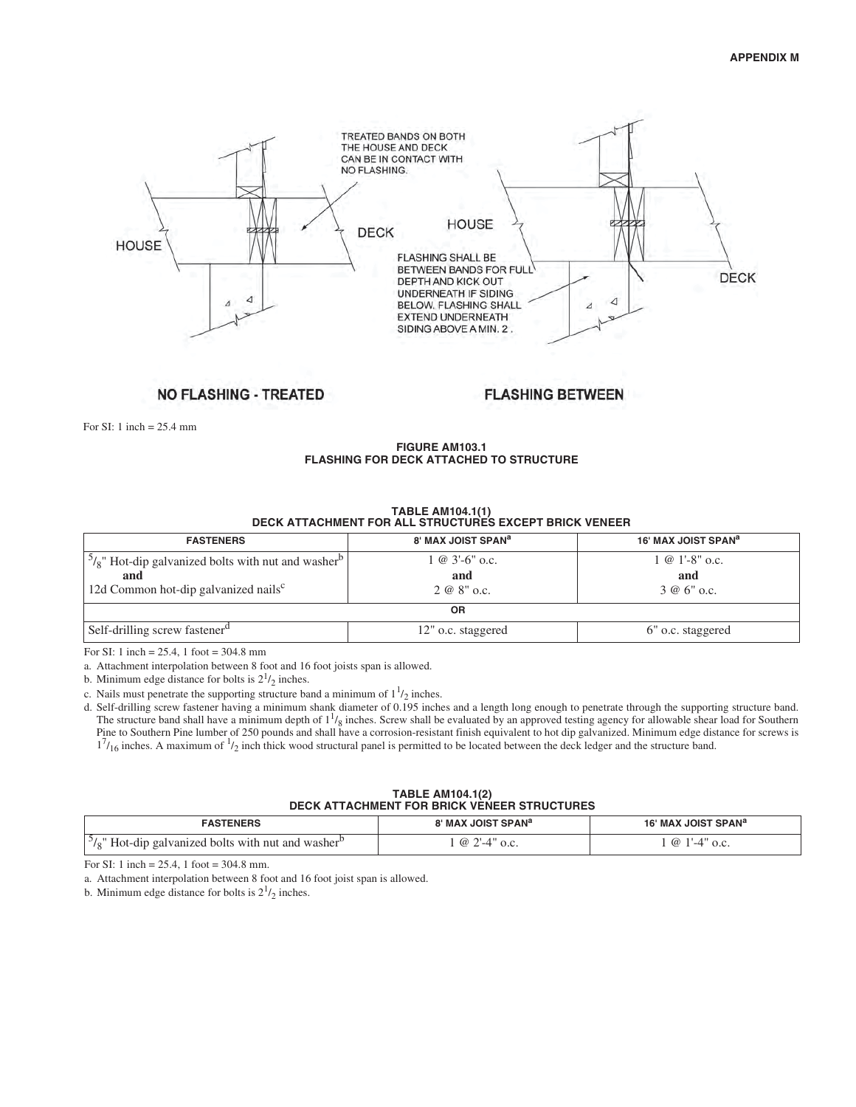

## **NO FLASHING - TREATED**

### **FLASHING BETWEEN**

For SI: 1 inch =  $25.4$  mm

### FIGURE AM103.1 **FLASHING FOR DECK ATTACHED TO STRUCTURE**

| <b>FASTENERS</b>                                                        | 8' MAX JOIST SPAN <sup>a</sup> | 16' MAX JOIST SPAN <sup>a</sup> |  |  |  |  |
|-------------------------------------------------------------------------|--------------------------------|---------------------------------|--|--|--|--|
| $\frac{5}{8}$ Hot-dip galvanized bolts with nut and washer <sup>b</sup> | $1 \& 3'$ -6" o.c.             | $1 \& 1' - 8"$ o.c.             |  |  |  |  |
| and                                                                     | and                            | and                             |  |  |  |  |
| 12d Common hot-dip galvanized nails <sup>c</sup>                        | $2 \& 8"$ o.c.                 | $3 \omega 6"$ o.c.              |  |  |  |  |
| ΟR                                                                      |                                |                                 |  |  |  |  |
| Self-drilling screw fastener <sup>d</sup>                               | 12" o.c. staggered             | 6" o.c. staggered               |  |  |  |  |

# TABLE AM104.1(1)<br>DECK ATTACHMENT FOR ALL STRUCTURES EXCEPT BRICK VENEER

For SI: 1 inch =  $25.4$ , 1 foot =  $304.8$  mm

a. Attachment interpolation between 8 foot and 16 foot joists span is allowed.

b. Minimum edge distance for bolts is  $2^{1/2}$  inches.

c. Nails must penetrate the supporting structure band a minimum of  $1^{1}/_{2}$  inches.

d. Self-drilling screw fastener having a minimum shank diameter of 0.195 inches and a length long enough to penetrate through the supporting structure band. The structure band shall have a minimum depth of  $1^{1}/_8$  inches. Screw shall be evaluated by an approved testing agency for allowable shear load for Southern Pine to Southern Pine lumber of 250 pounds and shall have a corrosion-resistant finish equivalent to hot dip galvanized. Minimum edge distance for screws is  $1^{7}/_{16}$  inches. A maximum of  $1/_{2}$  inch thick wood structural panel is permitted to be located between the deck ledger and the structure band.

# TABLE AM104.1(2)<br>DECK ATTACHMENT FOR BRICK VENEER STRUCTURES

| <b>FASTENERS</b>                                      | <b>8' MAX JOIST SPAN<sup>a</sup></b> | 16' MAX JOIST SPAN <sup>a</sup> |
|-------------------------------------------------------|--------------------------------------|---------------------------------|
| Hot-dip galvanized bolts with nut and washer $\theta$ | $\bigcap$<br>$\omega$<br>o.c         | (a)<br>o.c                      |

For SI: 1 inch =  $25.4$ , 1 foot =  $304.8$  mm.

a. Attachment interpolation between 8 foot and 16 foot joist span is allowed.

b. Minimum edge distance for bolts is  $2^{1}/_{2}$  inches.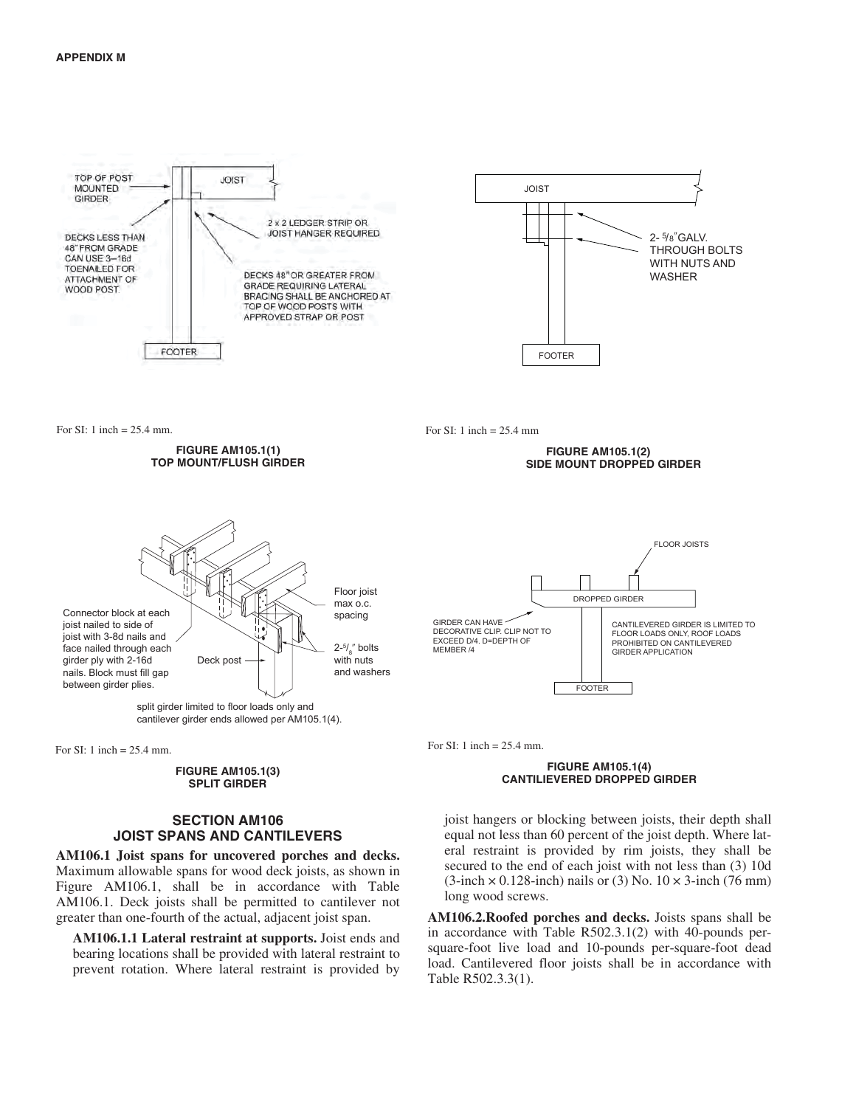

**FIGURE AM105.1(1)** *4* **TOP MOUNT/FLUSH GIRDER** 



split girder limited to floor loads only and cantilever girder ends allowed per AM105.1(4).

For SI: 1 inch =  $25.4$  mm.

### **FIGURE AM105.1(3) SPLIT GIRDER**

### **SECTION AM106 JOIST SPANS AND CANTILEVERS**

AM106.1 Joist spans for uncovered porches and decks. Maximum allowable spans for wood deck joists, as shown in Figure AM106.1, shall be in accordance with Table AM106.1. Deck joists shall be permitted to cantilever not greater than one-fourth of the actual, adjacent joist span.

AM106.1.1 Lateral restraint at supports. Joist ends and bearing locations shall be provided with lateral restraint to prevent rotation. Where lateral restraint is provided by

**FIGURE AM105.1(2) SIDE MOUNT DROPPED GIRDER** 



For SI: 1 inch =  $25.4$  mm.

### **FIGURE AM105.1(4) CANTILIEVERED DROPPED GIRDER**

joist hangers or blocking between joists, their depth shall equal not less than 60 percent of the joist depth. Where lateral restraint is provided by rim joists, they shall be secured to the end of each joist with not less than  $(3)$  10d  $(3\text{-inch} \times 0.128\text{-inch})$  nails or  $(3)$  No.  $10 \times 3\text{-inch}$  (76 mm) long wood screws.

AM106.2. Roofed porches and decks. Joists spans shall be in accordance with Table  $R502.3.1(2)$  with 40-pounds persquare-foot live load and 10-pounds per-square-foot dead load. Cantilevered floor joists shall be in accordance with Table R502.3.3(1).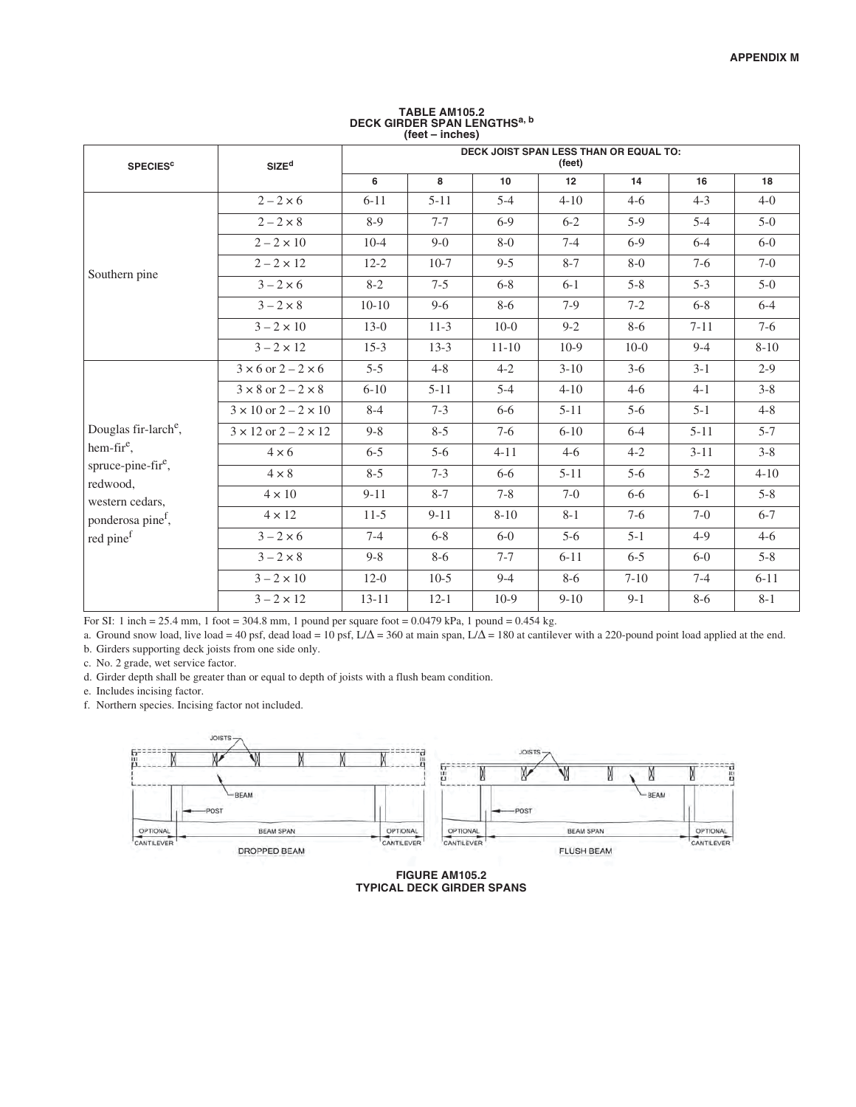| <b>SPECIES<sup>c</sup></b>                                                                                                                                                            | SIZE <sup>d</sup>                  | DECK JOIST SPAN LESS THAN OR EQUAL TO:<br>(feet) |          |           |          |          |          |          |
|---------------------------------------------------------------------------------------------------------------------------------------------------------------------------------------|------------------------------------|--------------------------------------------------|----------|-----------|----------|----------|----------|----------|
|                                                                                                                                                                                       |                                    | 6                                                | 8        | 10        | 12       | 14       | 16       | 18       |
|                                                                                                                                                                                       | $2 - 2 \times 6$                   | $6 - 11$                                         | $5 - 11$ | $5 - 4$   | $4 - 10$ | $4-6$    | $4 - 3$  | $4-0$    |
|                                                                                                                                                                                       | $2-2\times8$                       | $8-9$                                            | $7 - 7$  | $6-9$     | $6 - 2$  | $5-9$    | $5 - 4$  | $5-0$    |
|                                                                                                                                                                                       | $2-2\times10$                      | $10-4$                                           | $9-0$    | $8-0$     | $7 - 4$  | $6 - 9$  | $6 - 4$  | $6-0$    |
| Southern pine                                                                                                                                                                         | $2 - 2 \times 12$                  | $12 - 2$                                         | $10-7$   | $9 - 5$   | $8 - 7$  | $8-0$    | $7-6$    | $7-0$    |
|                                                                                                                                                                                       | $3-2\times 6$                      | $8 - 2$                                          | $7 - 5$  | $6 - 8$   | $6 - 1$  | $5 - 8$  | $5 - 3$  | $5-0$    |
|                                                                                                                                                                                       | $3-2\times8$                       | $10-10$                                          | $9 - 6$  | $8-6$     | $7-9$    | $7 - 2$  | $6 - 8$  | $6 - 4$  |
|                                                                                                                                                                                       | $3 - 2 \times 10$                  | $13-0$                                           | $11-3$   | $10-0$    | $9 - 2$  | $8-6$    | $7 - 11$ | $7-6$    |
|                                                                                                                                                                                       | $3 - 2 \times 12$                  | $15-3$                                           | $13-3$   | $11 - 10$ | $10-9$   | $10-0$   | $9 - 4$  | $8 - 10$ |
|                                                                                                                                                                                       | $3 \times 6$ or $2 - 2 \times 6$   | $5 - 5$                                          | $4 - 8$  | $4 - 2$   | $3-10$   | $3-6$    | $3 - 1$  | $2 - 9$  |
| Douglas fir-larch <sup>e</sup> ,<br>hem-fir <sup>e</sup> ,<br>spruce-pine-fir <sup>e</sup> ,<br>redwood,<br>western cedars,<br>ponderosa pine <sup>f</sup> ,<br>red pine <sup>f</sup> | $3 \times 8$ or $2 - 2 \times 8$   | $6 - 10$                                         | $5 - 11$ | $5 - 4$   | $4 - 10$ | $4-6$    | $4 - 1$  | $3 - 8$  |
|                                                                                                                                                                                       | $3 \times 10$ or $2 - 2 \times 10$ | $8 - 4$                                          | $7 - 3$  | $6 - 6$   | $5 - 11$ | $5 - 6$  | $5 - 1$  | $4 - 8$  |
|                                                                                                                                                                                       | $3 \times 12$ or $2 - 2 \times 12$ | $9 - 8$                                          | $8 - 5$  | $7-6$     | $6 - 10$ | $6 - 4$  | $5 - 11$ | $5 - 7$  |
|                                                                                                                                                                                       | $4 \times 6$                       | $6 - 5$                                          | $5-6$    | $4 - 11$  | $4-6$    | $4 - 2$  | $3 - 11$ | $3 - 8$  |
|                                                                                                                                                                                       | $4 \times 8$                       | $8 - 5$                                          | $7 - 3$  | $6 - 6$   | $5 - 11$ | $5 - 6$  | $5 - 2$  | $4 - 10$ |
|                                                                                                                                                                                       | $4 \times 10$                      | $9 - 11$                                         | $8 - 7$  | $7 - 8$   | $7-0$    | $6 - 6$  | $6-1$    | $5 - 8$  |
|                                                                                                                                                                                       | $4 \times 12$                      | $11-5$                                           | $9 - 11$ | $8 - 10$  | $8 - 1$  | $7-6$    | $7-0$    | $6 - 7$  |
|                                                                                                                                                                                       | $3 - 2 \times 6$                   | $7 - 4$                                          | $6 - 8$  | $6-0$     | $5-6$    | $5 - 1$  | $4 - 9$  | $4-6$    |
|                                                                                                                                                                                       | $3-2\times8$                       | $9 - 8$                                          | $8 - 6$  | $7 - 7$   | $6 - 11$ | $6 - 5$  | $6-0$    | $5 - 8$  |
|                                                                                                                                                                                       | $3 - 2 \times 10$                  | $12-0$                                           | $10-5$   | $9 - 4$   | $8-6$    | $7 - 10$ | $7 - 4$  | $6 - 11$ |
|                                                                                                                                                                                       | $3 - 2 \times 12$                  | $13 - 11$                                        | $12-1$   | $10-9$    | $9-10$   | $9 - 1$  | $8-6$    | $8-1$    |

# TABLE AM105.2<br>DECK GIRDER SPAN LENGTHS<sup>a, b</sup><br>(feet – inches)

For SI: 1 inch = 25.4 mm, 1 foot = 304.8 mm, 1 pound per square foot =  $0.0479$  kPa, 1 pound =  $0.454$  kg.

a. Ground snow load, live load = 40 psf, dead load = 10 psf,  $L/\Delta = 360$  at main span,  $L/\Delta = 180$  at cantilever with a 220-pound point load applied at the end. b. Girders supporting deck joists from one side only.

c. No. 2 grade, wet service factor.

d. Girder depth shall be greater than or equal to depth of joists with a flush beam condition.

e. Includes incising factor.

f. Northern species. Incising factor not included.



**FIGURE AM105.2 TYPICAL DECK GIRDER SPANS**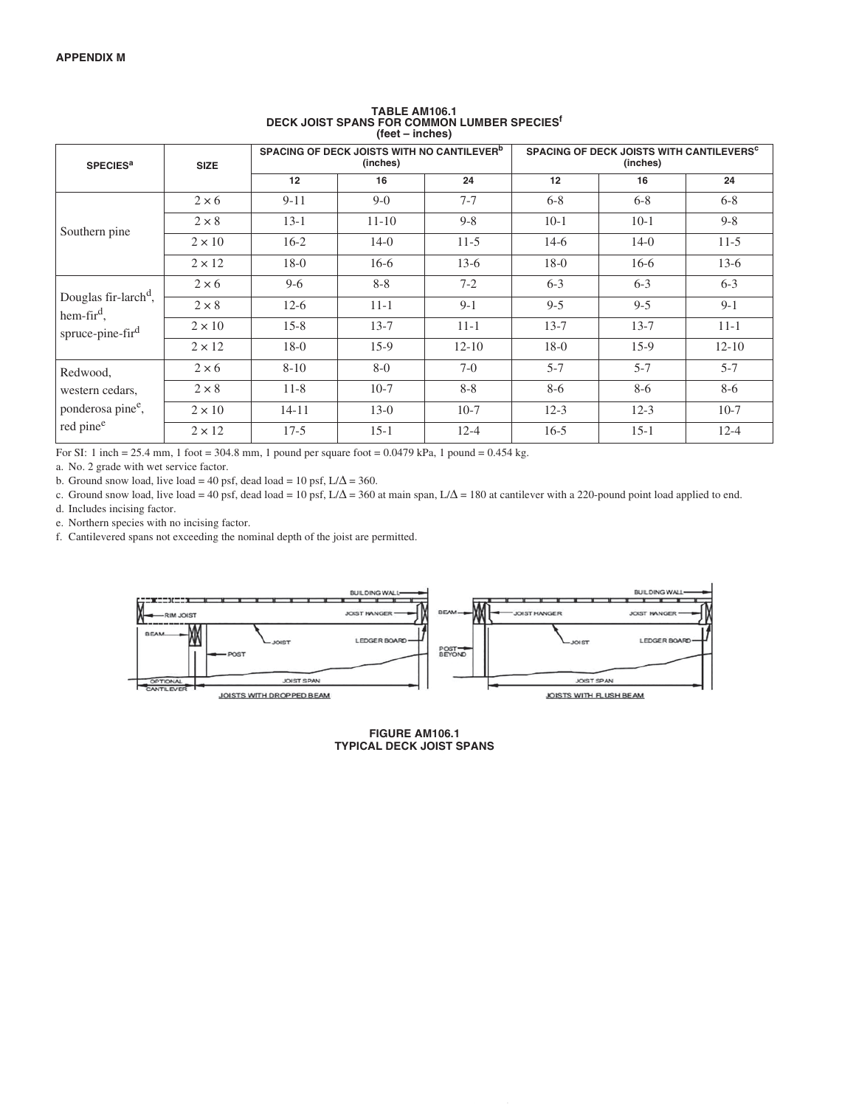| <b>SPECIES<sup>a</sup></b>                                                            | <b>SIZE</b>   | SPACING OF DECK JOISTS WITH NO CANTILEVER <sup>D</sup><br>(inches) |           |           | SPACING OF DECK JOISTS WITH CANTILEVERS <sup>C</sup><br>(inches) |          |           |
|---------------------------------------------------------------------------------------|---------------|--------------------------------------------------------------------|-----------|-----------|------------------------------------------------------------------|----------|-----------|
|                                                                                       |               | 12                                                                 | 16        | 24        | 12                                                               | 16       | 24        |
|                                                                                       | $2 \times 6$  | $9 - 11$                                                           | $9-0$     | $7 - 7$   | $6 - 8$                                                          | $6 - 8$  | $6 - 8$   |
| Southern pine                                                                         | $2 \times 8$  | $13-1$                                                             | $11 - 10$ | $9 - 8$   | $10-1$                                                           | $10-1$   | $9 - 8$   |
|                                                                                       | $2 \times 10$ | $16-2$                                                             | $14-0$    | $11-5$    | $14-6$                                                           | $14-0$   | $11-5$    |
|                                                                                       | $2 \times 12$ | $18-0$                                                             | $16-6$    | $13-6$    | $18-0$                                                           | $16-6$   | $13-6$    |
|                                                                                       | $2 \times 6$  | $9-6$                                                              | $8 - 8$   | $7 - 2$   | $6 - 3$                                                          | $6 - 3$  | $6 - 3$   |
| Douglas fir-larch <sup>d</sup> ,<br>hem-fi $r^d$ ,                                    | $2 \times 8$  | $12-6$                                                             | $11 - 1$  | $9-1$     | $9 - 5$                                                          | $9 - 5$  | $9-1$     |
| spruce-pine-fir <sup>d</sup>                                                          | $2 \times 10$ | $15-8$                                                             | $13 - 7$  | $11 - 1$  | $13 - 7$                                                         | $13 - 7$ | $11-1$    |
|                                                                                       | $2 \times 12$ | $18-0$                                                             | $15-9$    | $12 - 10$ | $18-0$                                                           | $15-9$   | $12 - 10$ |
| Redwood,<br>western cedars,<br>ponderosa pine <sup>e</sup> ,<br>red pine <sup>e</sup> | $2 \times 6$  | $8 - 10$                                                           | $8-0$     | $7-0$     | $5 - 7$                                                          | $5 - 7$  | $5 - 7$   |
|                                                                                       | $2 \times 8$  | $11 - 8$                                                           | $10-7$    | $8 - 8$   | $8-6$                                                            | $8-6$    | $8-6$     |
|                                                                                       | $2 \times 10$ | $14 - 11$                                                          | $13-0$    | $10-7$    | $12-3$                                                           | $12-3$   | $10-7$    |
|                                                                                       | $2 \times 12$ | $17-5$                                                             | $15-1$    | $12 - 4$  | $16-5$                                                           | $15-1$   | $12 - 4$  |

# TABLE AM106.1<br>DECK JOIST SPANS FOR COMMON LUMBER SPECIES<sup>f</sup><br>(feet – inches)

For SI: 1 inch = 25.4 mm, 1 foot = 304.8 mm, 1 pound per square foot =  $0.0479$  kPa, 1 pound =  $0.454$  kg.

a. No. 2 grade with wet service factor.

b. Ground snow load, live load = 40 psf, dead load = 10 psf,  $L/\Delta$  = 360.

c. Ground snow load, live load = 40 psf, dead load = 10 psf,  $L/\Delta = 360$  at main span,  $L/\Delta = 180$  at cantilever with a 220-pound point load applied to end.

d. Includes incising factor.

e. Northern species with no incising factor.

f. Cantilevered spans not exceeding the nominal depth of the joist are permitted.



FIGURE AM106.1 **TYPICAL DECK JOIST SPANS**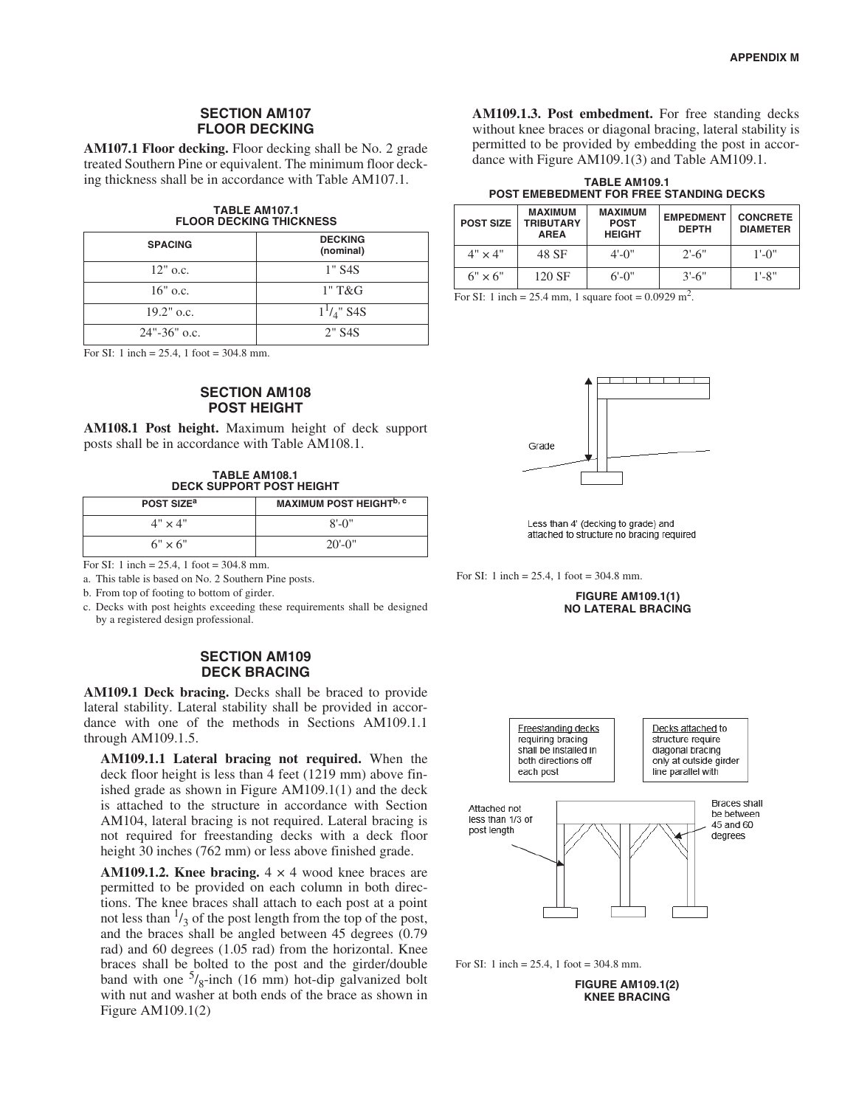## **SECTION AM107 FLOOR DECKING**

**AM107.1 Floor decking.** Floor decking shall be No. 2 grade treated Southern Pine or equivalent. The minimum floor decking thickness shall be in accordance with Table  $AM107.1$ .

# TABLE AM107.1<br><mark>FLOOR DECKING THICKNESS</mark>

| <b>SPACING</b>   | <b>DECKING</b><br>(nominal) |
|------------------|-----------------------------|
| $12"$ o.c.       | $1"$ S <sub>4</sub> S       |
| $16"$ o.c.       | $1"$ T&G                    |
| $19.2$ " o.c.    | $1^{1}/_{4}$ " S4S          |
| $24" - 36"$ o.c. | $2"$ S <sub>4</sub> S       |

For SI: 1 inch =  $25.4$ , 1 foot =  $304.8$  mm.

## **SECTION AM108 POST HEIGHT**

**AM108.1 Post height.** Maximum height of deck support posts shall be in accordance with Table AM108.1.

**TABLE AM108.1 DECK SUPPORT POST HEIGHT** 

| POST SIZE <sup>a</sup> | <b>MAXIMUM POST HEIGHT<sup>b, c</sup></b> |
|------------------------|-------------------------------------------|
| $4" \times 4"$         | $8' - 0''$                                |
| $6" \times 6"$         | $20' - 0''$                               |

For SI: 1 inch =  $25.4$ . 1 foot =  $304.8$  mm.

a. This table is based on No. 2 Southern Pine posts.

b. From top of footing to bottom of girder.

c. Decks with post heights exceeding these requirements shall be designed by a registered design professional.

### **SECTION AM109 DECK BRACING**

AM109.1 Deck bracing. Decks shall be braced to provide lateral stability. Lateral stability shall be provided in accordance with one of the methods in Sections AM109.1.1 through AM109.1.5.

**AM109.1.1 Lateral bracing not required.** When the deck floor height is less than 4 feet  $(1219 \text{ mm})$  above finished grade as shown in Figure  $AM109.1(1)$  and the deck is attached to the structure in accordance with Section AM104, lateral bracing is not required. Lateral bracing is not required for freestanding decks with a deck floor height 30 inches (762 mm) or less above finished grade.

**AM109.1.2. Knee bracing.**  $4 \times 4$  wood knee braces are permitted to be provided on each column in both directions. The knee braces shall attach to each post at a point not less than  $\frac{1}{3}$  of the post length from the top of the post, and the braces shall be angled between  $45$  degrees  $(0.79)$ rad) and 60 degrees  $(1.05 \text{ rad})$  from the horizontal. Knee braces shall be bolted to the post and the girder/double band with one  $\frac{5}{8}$ -inch (16 mm) hot-dip galvanized bolt with nut and washer at both ends of the brace as shown in Figure  $AM109.1(2)$ 

**AM109.1.3. Post embedment.** For free standing decks without knee braces or diagonal bracing, lateral stability is permitted to be provided by embedding the post in accordance with Figure AM109.1(3) and Table AM109.1.

**TABLE AM109.1 POST EMEBEDMENT FOR FREE STANDING DECKS** 

| <b>POST SIZE</b> | <b>MAXIMUM</b><br><b>TRIBUTARY</b><br><b>AREA</b> | <b>MAXIMUM</b><br><b>POST</b><br><b>HEIGHT</b> | <b>EMPEDMENT</b><br><b>DEPTH</b> | <b>CONCRETE</b><br><b>DIAMETER</b> |
|------------------|---------------------------------------------------|------------------------------------------------|----------------------------------|------------------------------------|
| $4" \times 4"$   | 48 SF                                             | $4'$ -0"                                       | $2' - 6''$                       | $1'$ -0"                           |
| $6" \times 6"$   | 120 SF                                            | $6' - 0''$                                     | $3' - 6''$                       | $1' - 8"$                          |

For SI: 1 inch = 25.4 mm, 1 square foot =  $0.0929 \text{ m}^2$ .



Less than 4' (decking to grade) and attached to structure no bracing required

For SI: 1 inch =  $25.4$ , 1 foot =  $304.8$  mm.

**FIGURE AM109.1(1) NO LATERAL BRACING** 



For SI: 1 inch =  $25.4$ , 1 foot =  $304.8$  mm.

**FIGURE AM109.1(2) KNEE BRACING**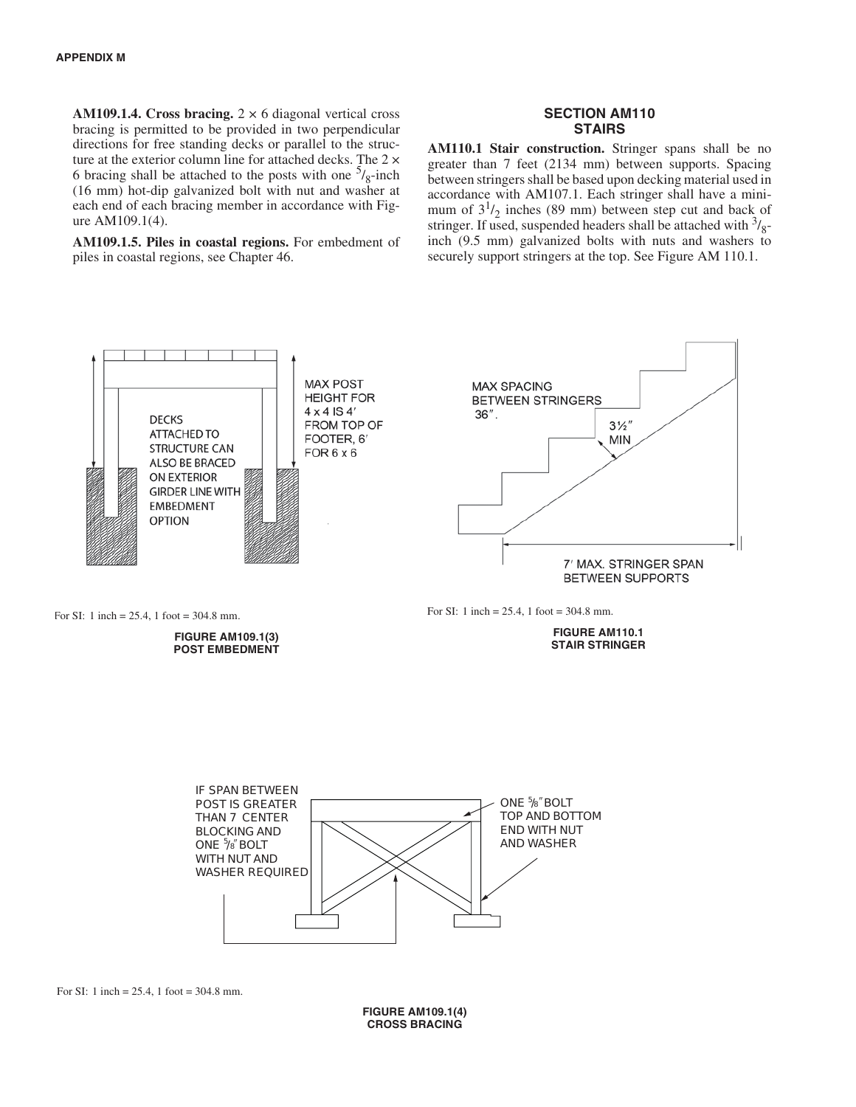**AM109.1.4. Cross bracing.**  $2 \times 6$  diagonal vertical cross bracing is permitted to be provided in two perpendicular directions for free standing decks or parallel to the structure at the exterior column line for attached decks. The  $2 \times$ 6 bracing shall be attached to the posts with one  $\frac{5}{8}$ -inch (16 mm) hot-dip galvanized bolt with nut and washer at each end of each bracing member in accordance with Figure AM109.1(4).

AM109.1.5. Piles in coastal regions. For embedment of piles in coastal regions, see Chapter 46.

### **SECTION AM110 STAIRS**

AM110.1 Stair construction. Stringer spans shall be no greater than 7 feet (2134 mm) between supports. Spacing between stringers shall be based upon decking material used in accordance with AM107.1. Each stringer shall have a minimum of  $3^{1}/_{2}$  inches (89 mm) between step cut and back of stringer. If used, suspended headers shall be attached with  $\frac{3}{8}$ inch (9.5 mm) galvanized bolts with nuts and washers to securely support stringers at the top. See Figure AM 110.1.



**FIGURE AM109.1(4) CROSS BRACING**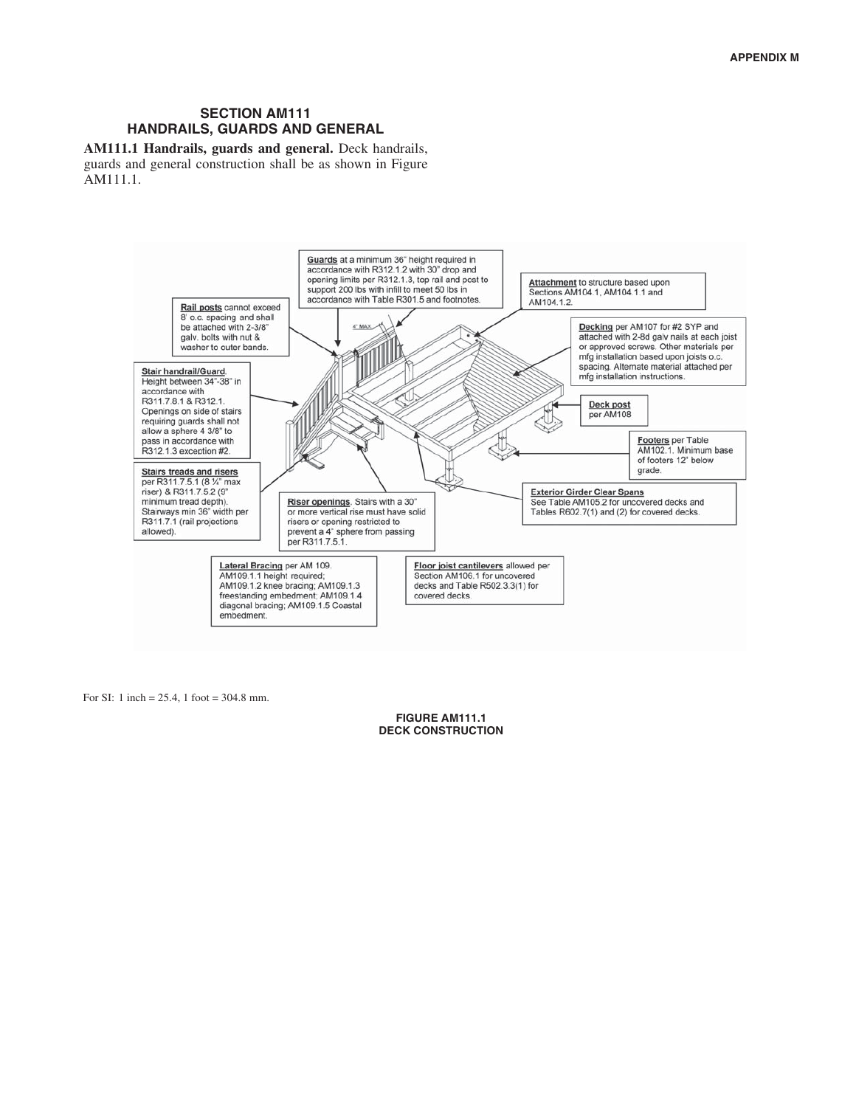## **SECTION AM111 HANDRAILS, GUARDS AND GENERAL**

AM111.1 Handrails, guards and general. Deck handrails, guards and general construction shall be as shown in Figure AM111.1.



For SI: 1 inch =  $25.4$ , 1 foot =  $304.8$  mm.

**FIGURE AM111.1 DECK CONSTRUCTION**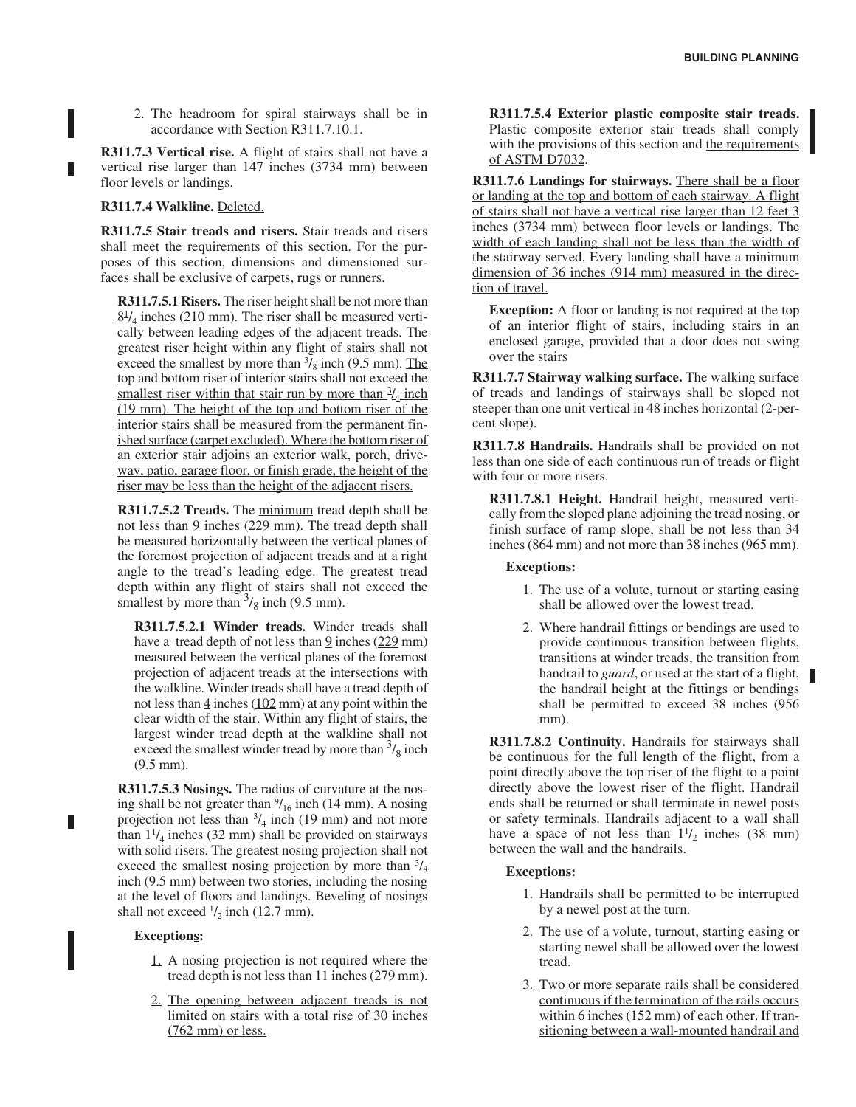2. The headroom for spiral stairways shall be in accordance with Section R311.7.10.1.

R311.7.3 Vertical rise. A flight of stairs shall not have a vertical rise larger than 147 inches (3734 mm) between floor levels or landings.

### R311.7.4 Walkline. Deleted.

**R311.7.5 Stair treads and risers.** Stair treads and risers shall meet the requirements of this section. For the purposes of this section, dimensions and dimensioned surfaces shall be exclusive of carpets, rugs or runners.

**R311.7.5.1 Risers.** The riser height shall be not more than  $\underline{8}^{1}/\underline{4}$  inches (210 mm). The riser shall be measured vertically between leading edges of the adjacent treads. The greatest riser height within any flight of stairs shall not exceed the smallest by more than  $\frac{3}{8}$  inch (9.5 mm). The top and bottom riser of interior stairs shall not exceed the smallest riser within that stair run by more than  $\frac{3}{4}$  inch  $(19 \text{ mm})$ . The height of the top and bottom riser of the interior stairs shall be measured from the permanent finished surface (carpet excluded). Where the bottom riser of an exterior stair adjoins an exterior walk, porch, driveway, patio, garage floor, or finish grade, the height of the riser may be less than the height of the adjacent risers.

R311.7.5.2 Treads. The minimum tread depth shall be not less than  $9$  inches  $(229 \text{ mm})$ . The tread depth shall be measured horizontally between the vertical planes of the foremost projection of adjacent treads and at a right angle to the tread's leading edge. The greatest tread depth within any flight of stairs shall not exceed the smallest by more than  $\frac{3}{8}$  inch (9.5 mm).

**R311.7.5.2.1 Winder treads.** Winder treads shall have a tread depth of not less than  $9$  inches  $(229 \text{ mm})$ measured between the vertical planes of the foremost projection of adjacent treads at the intersections with the walkline. Winder treads shall have a tread depth of not less than  $\frac{4}{10}$  inches ( $\frac{102}{2}$  mm) at any point within the clear width of the stair. Within any flight of stairs, the largest winder tread depth at the walkline shall not exceed the smallest winder tread by more than  $\frac{3}{8}$  inch  $(9.5 \text{ mm})$ .

**R311.7.5.3 Nosings.** The radius of curvature at the nosing shall be not greater than  $\frac{9}{16}$  inch (14 mm). A nosing projection not less than  $\frac{3}{4}$  inch (19 mm) and not more than  $1\frac{1}{4}$  inches (32 mm) shall be provided on stairways with solid risers. The greatest nosing projection shall not exceed the smallest nosing projection by more than  $\frac{3}{8}$ inch  $(9.5 \text{ mm})$  between two stories, including the nosing at the level of floors and landings. Beveling of nosings shall not exceed  $\frac{1}{2}$  inch (12.7 mm).

### **Exceptions:**

- $\frac{1}{\sqrt{2}}$ . A nosing projection is not required where the tread depth is not less than 11 inches (279 mm).
- 2. The opening between adjacent treads is not limited on stairs with a total rise of 30 inches  $(762$  mm) or less.

R311.7.5.4 Exterior plastic composite stair treads. Plastic composite exterior stair treads shall comply with the provisions of this section and the requirements of ASTM D7032.

**R311.7.6 Landings for stairways.** There shall be a floor or landing at the top and bottom of each stairway. A flight of stairs shall not have a vertical rise larger than 12 feet 3 inches (3734 mm) between floor levels or landings. The width of each landing shall not be less than the width of the stairway served. Every landing shall have a minimum dimension of 36 inches (914 mm) measured in the direction of travel.

**Exception:** A floor or landing is not required at the top of an interior flight of stairs, including stairs in an enclosed garage, provided that a door does not swing over the stairs

R311.7.7 Stairway walking surface. The walking surface of treads and landings of stairways shall be sloped not steeper than one unit vertical in 48 inches horizontal (2-percent slope).

**R311.7.8 Handrails.** Handrails shall be provided on not less than one side of each continuous run of treads or flight with four or more risers.

R311.7.8.1 Height. Handrail height, measured vertically from the sloped plane adjoining the tread nosing, or finish surface of ramp slope, shall be not less than 34 inches (864 mm) and not more than 38 inches (965 mm).

### **Exceptions:**

- 1. The use of a volute, turnout or starting easing shall be allowed over the lowest tread.
- 2. Where handrail fittings or bendings are used to provide continuous transition between flights, transitions at winder treads, the transition from handrail to *guard*, or used at the start of a flight, the handrail height at the fittings or bendings shall be permitted to exceed 38 inches (956) mm).

**R311.7.8.2 Continuity.** Handrails for stairways shall be continuous for the full length of the flight, from a point directly above the top riser of the flight to a point directly above the lowest riser of the flight. Handrail ends shall be returned or shall terminate in newel posts or safety terminals. Handrails adjacent to a wall shall have a space of not less than  $1\frac{1}{2}$  inches (38 mm) between the wall and the handrails.

### Exceptions:

- 1. Handrails shall be permitted to be interrupted by a newel post at the turn.
- 2. The use of a volute, turnout, starting easing or starting newel shall be allowed over the lowest tread.
- 3. Two or more separate rails shall be considered continuous if the termination of the rails occurs within 6 inches  $(152 \text{ mm})$  of each other. If transitioning between a wall-mounted handrail and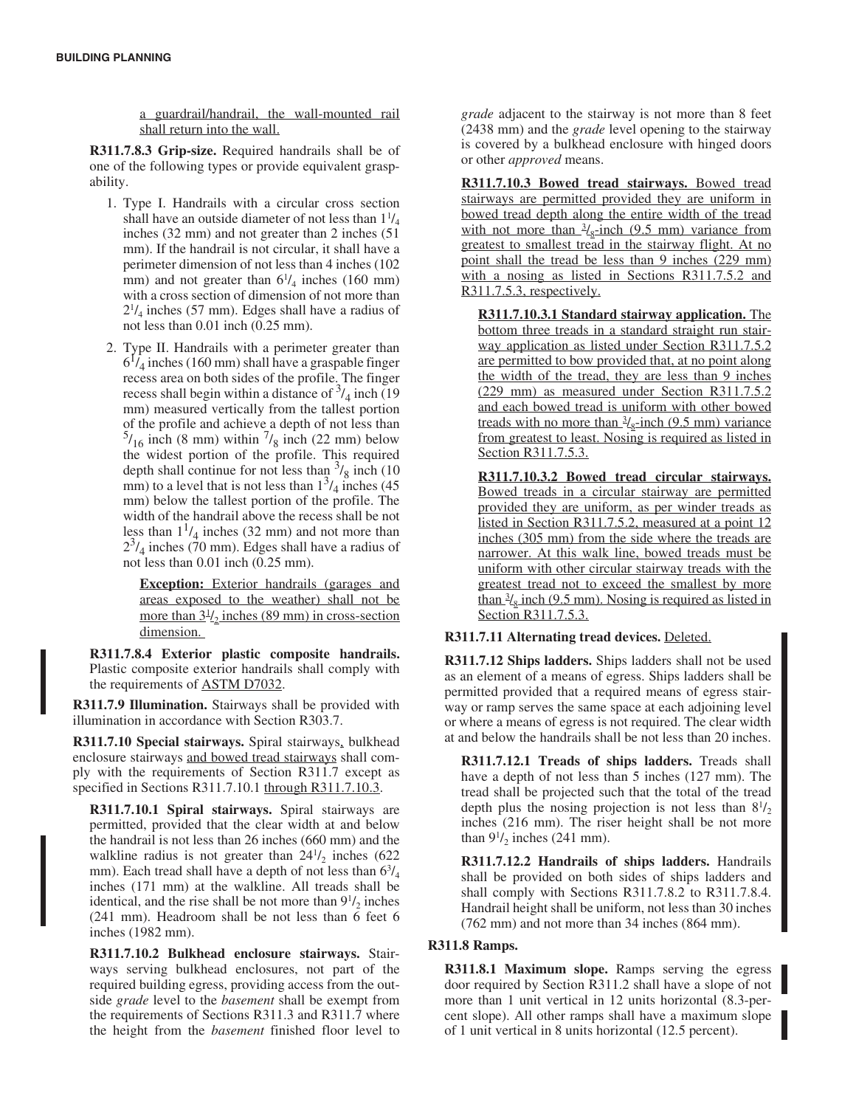a guardrail/handrail, the wall-mounted rail shall return into the wall.

**R311.7.8.3 Grip-size.** Required handrails shall be of one of the following types or provide equivalent graspability.

- 1. Type I. Handrails with a circular cross section shall have an outside diameter of not less than  $1\frac{1}{4}$ inches  $(32 \text{ mm})$  and not greater than 2 inches  $(51$ mm). If the handrail is not circular, it shall have a perimeter dimension of not less than 4 inches (102) mm) and not greater than  $6^{1}/_{4}$  inches (160 mm) with a cross section of dimension of not more than  $2^{1}/_{4}$  inches (57 mm). Edges shall have a radius of not less than  $0.01$  inch  $(0.25$  mm).
- 2. Type II. Handrails with a perimeter greater than  $6^{1}/_{4}$  inches (160 mm) shall have a graspable finger recess area on both sides of the profile. The finger recess shall begin within a distance of  $\frac{3}{4}$  inch (19) mm) measured vertically from the tallest portion of the profile and achieve a depth of not less than  $^{5}/_{16}$  inch (8 mm) within  $^{7}/_{8}$  inch (22 mm) below the widest portion of the profile. This required depth shall continue for not less than  $\frac{3}{8}$  inch (10) mm) to a level that is not less than  $1^3/\frac{1}{4}$  inches (45) mm) below the tallest portion of the profile. The width of the handrail above the recess shall be not less than  $1^{1}/_4$  inches (32 mm) and not more than  $2<sup>3</sup>/4$  inches (70 mm). Edges shall have a radius of not less than  $0.01$  inch  $(0.25$  mm).

**Exception:** Exterior handrails (garages and areas exposed to the weather) shall not be more than  $3\frac{1}{2}$  inches (89 mm) in cross-section dimension.

R311.7.8.4 Exterior plastic composite handrails. Plastic composite exterior handrails shall comply with the requirements of **ASTM D7032**.

**R311.7.9 Illumination.** Stairways shall be provided with illumination in accordance with Section R303.7.

R311.7.10 Special stairways. Spiral stairways, bulkhead enclosure stairways and bowed tread stairways shall comply with the requirements of Section R311.7 except as specified in Sections R311.7.10.1 through  $R311.7.10.3$ .

R311.7.10.1 Spiral stairways. Spiral stairways are permitted, provided that the clear width at and below the handrail is not less than  $26$  inches  $(660 \text{ mm})$  and the walkline radius is not greater than  $24^{1}/_{2}$  inches (622) mm). Each tread shall have a depth of not less than  $6\frac{3}{4}$ inches  $(171 \text{ mm})$  at the walkline. All treads shall be identical, and the rise shall be not more than  $9^{1}/_2$  inches  $(241 \text{ mm})$ . Headroom shall be not less than 6 feet 6 inches  $(1982 \text{ mm})$ .

R311.7.10.2 Bulkhead enclosure stairways. Stairways serving bulkhead enclosures, not part of the required building egress, providing access from the outside grade level to the basement shall be exempt from the requirements of Sections R311.3 and R311.7 where the height from the *basement* finished floor level to

*grade* adjacent to the stairway is not more than 8 feet (2438 mm) and the *grade* level opening to the stairway is covered by a bulkhead enclosure with hinged doors or other *approved* means.

R311.7.10.3 Bowed tread stairways. Bowed tread stairways are permitted provided they are uniform in bowed tread depth along the entire width of the tread with not more than  $\frac{3}{2}$ -inch (9.5 mm) variance from greatest to smallest tread in the stairway flight. At no point shall the tread be less than 9 inches (229 mm) with a nosing as listed in Sections  $R311.7.5.2$  and R311.7.5.3, respectively.

**R311.7.10.3.1 Standard stairway application.** The bottom three treads in a standard straight run stairway application as listed under Section R311.7.5.2 are permitted to bow provided that, at no point along the width of the tread, they are less than 9 inches  $(229$  mm) as measured under Section R311.7.5.2 and each bowed tread is uniform with other bowed treads with no more than  $\frac{3}{2}$ -inch (9.5 mm) variance from greatest to least. Nosing is required as listed in Section R311.7.5.3.

R311.7.10.3.2 Bowed tread circular stairways. Bowed treads in a circular stairway are permitted provided they are uniform, as per winder treads as listed in Section R311.7.5.2, measured at a point 12 inches  $(305 \text{ mm})$  from the side where the treads are narrower. At this walk line, bowed treads must be uniform with other circular stairway treads with the greatest tread not to exceed the smallest by more than  $\frac{3}{8}$  inch (9.5 mm). Nosing is required as listed in Section R311.7.5.3.

### R311.7.11 Alternating tread devices. Deleted.

R311.7.12 Ships ladders. Ships ladders shall not be used as an element of a means of egress. Ships ladders shall be permitted provided that a required means of egress stairway or ramp serves the same space at each adjoining level or where a means of egress is not required. The clear width at and below the handrails shall be not less than 20 inches.

R311.7.12.1 Treads of ships ladders. Treads shall have a depth of not less than  $5$  inches (127 mm). The tread shall be projected such that the total of the tread depth plus the nosing projection is not less than  $8^{1}/_{2}$ inches  $(216 \text{ mm})$ . The riser height shall be not more than  $9^{1}/_{2}$  inches (241 mm).

R311.7.12.2 Handrails of ships ladders. Handrails shall be provided on both sides of ships ladders and shall comply with Sections R311.7.8.2 to R311.7.8.4. Handrail height shall be uniform, not less than 30 inches  $(762$  mm) and not more than 34 inches  $(864$  mm).

### **R311.8 Ramps.**

**R311.8.1 Maximum slope.** Ramps serving the egress door required by Section R311.2 shall have a slope of not more than 1 unit vertical in 12 units horizontal (8.3-percent slope). All other ramps shall have a maximum slope of 1 unit vertical in 8 units horizontal (12.5 percent).